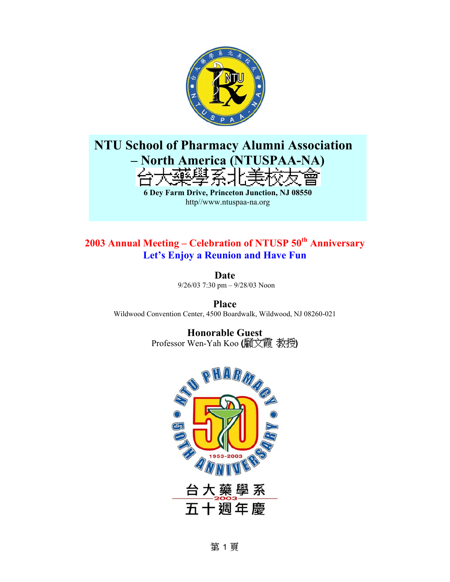

## **NTU School of Pharmacy Alumni Association – North America (NTUSPAA-NA)**  デガイ **6 Dey Farm Drive, Princeton Junction, NJ 08550**  http//www.ntuspaa-na.org

### **2003 Annual Meeting – Celebration of NTUSP 50th Anniversary Let's Enjoy a Reunion and Have Fun**

**Date**  9/26/03 7:30 pm – 9/28/03 Noon

**Place**  Wildwood Convention Center, 4500 Boardwalk, Wildwood, NJ 08260-021

> **Honorable Guest**  Professor Wen-Yah Koo (顧文霞 教授)



第1頁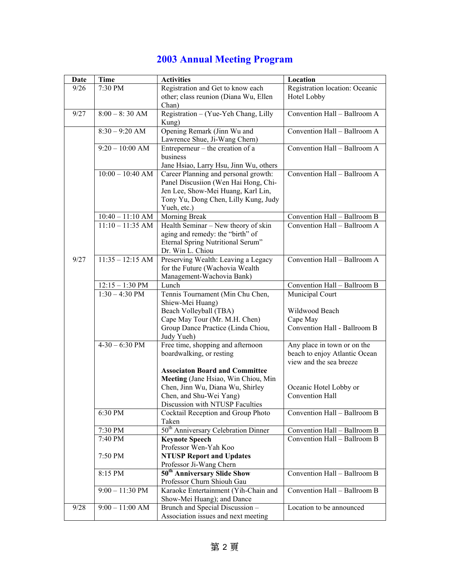# **2003 Annual Meeting Program**

| Date | <b>Time</b>        | <b>Activities</b>                                                            | Location                       |
|------|--------------------|------------------------------------------------------------------------------|--------------------------------|
| 9/26 | 7:30 PM            | Registration and Get to know each                                            | Registration location: Oceanic |
|      |                    | other; class reunion (Diana Wu, Ellen                                        | Hotel Lobby                    |
|      |                    | Chan)                                                                        |                                |
| 9/27 | $8:00 - 8:30$ AM   | Registration – (Yue-Yeh Chang, Lilly                                         | Convention Hall - Ballroom A   |
|      |                    | Kung)                                                                        |                                |
|      | $8:30 - 9:20$ AM   | Opening Remark (Jinn Wu and                                                  | Convention Hall - Ballroom A   |
|      |                    | Lawrence Shue, Ji-Wang Chern)                                                |                                |
|      | $9:20 - 10:00$ AM  | Entreperneur – the creation of a                                             | Convention Hall - Ballroom A   |
|      |                    | business                                                                     |                                |
|      | $10:00 - 10:40$ AM | Jane Hsiao, Larry Hsu, Jinn Wu, others                                       |                                |
|      |                    | Career Planning and personal growth:<br>Panel Discusiion (Wen Hai Hong, Chi- | Convention Hall - Ballroom A   |
|      |                    | Jen Lee, Show-Mei Huang, Karl Lin,                                           |                                |
|      |                    | Tony Yu, Dong Chen, Lilly Kung, Judy                                         |                                |
|      |                    | Yueh, etc.)                                                                  |                                |
|      | $10:40 - 11:10$ AM | Morning Break                                                                | Convention Hall - Ballroom B   |
|      | $11:10 - 11:35$ AM | Health Seminar - New theory of skin                                          | Convention Hall - Ballroom A   |
|      |                    | aging and remedy: the "birth" of                                             |                                |
|      |                    | Eternal Spring Nutritional Serum"                                            |                                |
|      |                    | Dr. Win L. Chiou                                                             |                                |
| 9/27 | $11:35 - 12:15$ AM | Preserving Wealth: Leaving a Legacy                                          | Convention Hall - Ballroom A   |
|      |                    | for the Future (Wachovia Wealth                                              |                                |
|      |                    | Management-Wachovia Bank)                                                    |                                |
|      | $12:15 - 1:30$ PM  | Lunch                                                                        | Convention Hall - Ballroom B   |
|      | $1:30 - 4:30$ PM   | Tennis Tournament (Min Chu Chen,                                             | Municipal Court                |
|      |                    | Shiew-Mei Huang)                                                             |                                |
|      |                    | Beach Volleyball (TBA)                                                       | Wildwood Beach                 |
|      |                    | Cape May Tour (Mr. M.H. Chen)                                                | Cape May                       |
|      |                    | Group Dance Practice (Linda Chiou,<br>Judy Yueh)                             | Convention Hall - Ballroom B   |
|      | $4-30-6:30$ PM     | Free time, shopping and afternoon                                            | Any place in town or on the    |
|      |                    | boardwalking, or resting                                                     | beach to enjoy Atlantic Ocean  |
|      |                    |                                                                              | view and the sea breeze        |
|      |                    | <b>Associaton Board and Committee</b>                                        |                                |
|      |                    | Meeting (Jane Hsiao, Win Chiou, Min                                          |                                |
|      |                    | Chen, Jinn Wu, Diana Wu, Shirley                                             | Oceanic Hotel Lobby or         |
|      |                    | Chen, and Shu-Wei Yang)                                                      | Convention Hall                |
|      |                    | Discussion with NTUSP Faculties                                              |                                |
|      | 6:30 PM            | Cocktail Reception and Group Photo                                           | Convention Hall - Ballroom B   |
|      |                    | Taken                                                                        |                                |
|      | 7:30 PM            | 50 <sup>th</sup> Anniversary Celebration Dinner                              | Convention Hall - Ballroom B   |
|      | 7:40 PM            | <b>Keynote Speech</b>                                                        | Convention Hall - Ballroom B   |
|      |                    | Professor Wen-Yah Koo                                                        |                                |
|      | 7:50 PM            | <b>NTUSP Report and Updates</b><br>Professor Ji-Wang Chern                   |                                |
|      | 8:15 PM            | 50 <sup>th</sup> Anniversary Slide Show                                      | Convention Hall - Ballroom B   |
|      |                    | Professor Churn Shiouh Gau                                                   |                                |
|      | $9:00 - 11:30$ PM  | Karaoke Entertainment (Yih-Chain and                                         | Convention Hall - Ballroom B   |
|      |                    | Show-Mei Huang); and Dance                                                   |                                |
| 9/28 | $9:00 - 11:00$ AM  | Brunch and Special Discussion -                                              | Location to be announced       |
|      |                    | Association issues and next meeting                                          |                                |